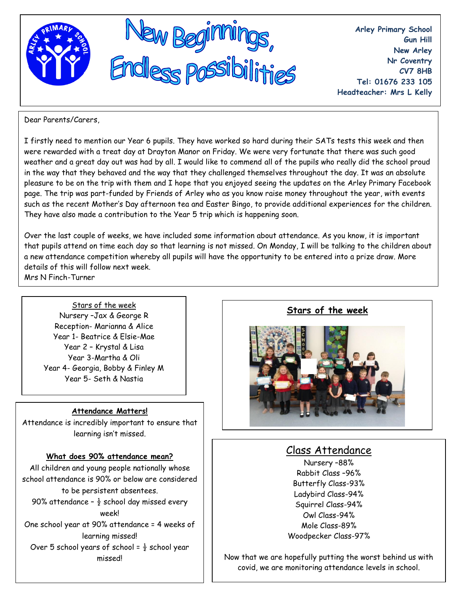

**Arley Primary School Gun Hill New Arley Nr Coventry CV7 8HB Tel: 01676 233 105 Headteacher: Mrs L Kelly**

Dear Parents/Carers,

I firstly need to mention our Year 6 pupils. They have worked so hard during their SATs tests this week and then were rewarded with a treat day at Drayton Manor on Friday. We were very fortunate that there was such good weather and a great day out was had by all. I would like to commend all of the pupils who really did the school proud in the way that they behaved and the way that they challenged themselves throughout the day. It was an absolute pleasure to be on the trip with them and I hope that you enjoyed seeing the updates on the Arley Primary Facebook page. The trip was part-funded by Friends of Arley who as you know raise money throughout the year, with events such as the recent Mother's Day afternoon tea and Easter Bingo, to provide additional experiences for the children. They have also made a contribution to the Year 5 trip which is happening soon.

Over the last couple of weeks, we have included some information about attendance. As you know, it is important that pupils attend on time each day so that learning is not missed. On Monday, I will be talking to the children about a new attendance competition whereby all pupils will have the opportunity to be entered into a prize draw. More details of this will follow next week.

Mrs N Finch-Turner

Stars of the week Nursery –Jax & George R Reception- Marianna & Alice Year 1- Beatrice & Elsie-Mae Year 2 – Krystal & Lisa Year 3-Martha & Oli Year 4- Georgia, Bobby & Finley M Year 5- Seth & Nastia

#### **Attendance Matters!**

Attendance is incredibly important to ensure that learning isn't missed.

## **What does 90% attendance mean?**

All children and young people nationally whose school attendance is 90% or below are considered to be persistent absentees. 90% attendance -  $\frac{1}{2}$  school day missed every week! One school year at 90% attendance = 4 weeks of learning missed! Over 5 school years of school =  $\frac{1}{2}$  school year missed!

**Stars of the week**



# Class Attendance

Nursery –88% Rabbit Class –96% Butterfly Class-93% Ladybird Class-94% Squirrel Class-94% Owl Class-94% Mole Class-89% Woodpecker Class-97%

Now that we are hopefully putting the worst behind us with covid, we are monitoring attendance levels in school.